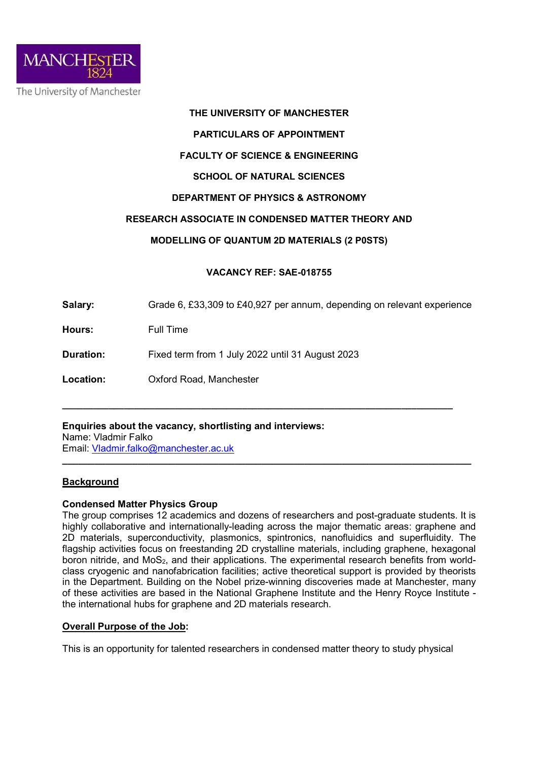

### THE UNIVERSITY OF MANCHESTER

### PARTICULARS OF APPOINTMENT

# FACULTY OF SCIENCE & ENGINEERING

# SCHOOL OF NATURAL SCIENCES

### DEPARTMENT OF PHYSICS & ASTRONOMY

# RESEARCH ASSOCIATE IN CONDENSED MATTER THEORY AND

# MODELLING OF QUANTUM 2D MATERIALS (2 P0STS)

### VACANCY REF: SAE-018755

Salary: Grade 6, £33,309 to £40,927 per annum, depending on relevant experience

\_\_\_\_\_\_\_\_\_\_\_\_\_\_\_\_\_\_\_\_\_\_\_\_\_\_\_\_\_\_\_\_\_\_\_\_\_\_\_\_\_\_\_\_\_\_\_\_\_\_\_\_\_\_\_\_\_\_\_\_\_\_\_\_\_\_\_\_\_\_\_\_\_\_\_\_

\_\_\_\_\_\_\_\_\_\_\_\_\_\_\_\_\_\_\_\_\_\_\_\_\_\_\_\_\_\_\_\_\_\_\_\_\_\_\_\_\_\_\_\_\_\_\_\_\_\_\_\_\_\_\_\_\_\_\_\_\_\_\_\_\_\_\_\_\_\_\_\_\_\_\_\_

Hours: Full Time

Duration: Fixed term from 1 July 2022 until 31 August 2023

Location: Oxford Road, Manchester

# Enquiries about the vacancy, shortlisting and interviews:

Name: Vladmir Falko Email: Vladmir.falko@manchester.ac.uk

# **Background**

#### Condensed Matter Physics Group

The group comprises 12 academics and dozens of researchers and post-graduate students. It is highly collaborative and internationally-leading across the major thematic areas: graphene and 2D materials, superconductivity, plasmonics, spintronics, nanofluidics and superfluidity. The flagship activities focus on freestanding 2D crystalline materials, including graphene, hexagonal boron nitride, and  $MoS<sub>2</sub>$ , and their applications. The experimental research benefits from worldclass cryogenic and nanofabrication facilities; active theoretical support is provided by theorists in the Department. Building on the Nobel prize-winning discoveries made at Manchester, many of these activities are based in the National Graphene Institute and the Henry Royce Institute the international hubs for graphene and 2D materials research.

#### Overall Purpose of the Job:

This is an opportunity for talented researchers in condensed matter theory to study physical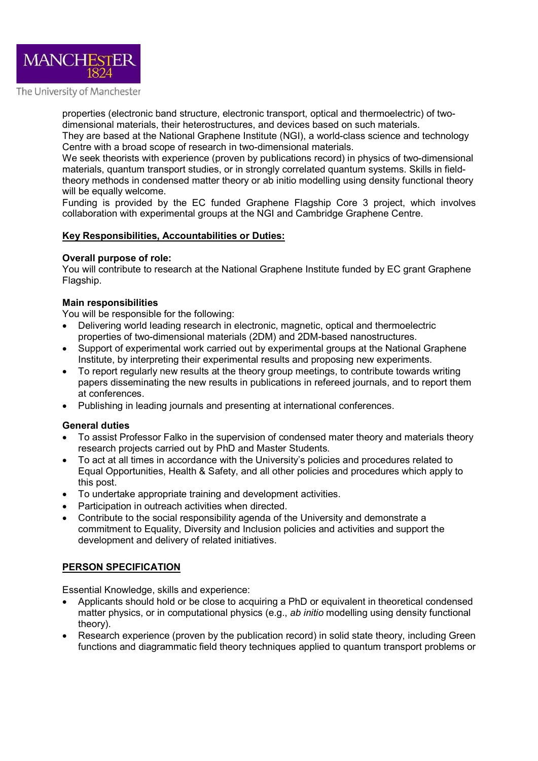

The University of Manchester

properties (electronic band structure, electronic transport, optical and thermoelectric) of twodimensional materials, their heterostructures, and devices based on such materials.

They are based at the National Graphene Institute (NGI), a world-class science and technology Centre with a broad scope of research in two-dimensional materials.

We seek theorists with experience (proven by publications record) in physics of two-dimensional materials, quantum transport studies, or in strongly correlated quantum systems. Skills in fieldtheory methods in condensed matter theory or ab initio modelling using density functional theory will be equally welcome.

Funding is provided by the EC funded Graphene Flagship Core 3 project, which involves collaboration with experimental groups at the NGI and Cambridge Graphene Centre.

### Key Responsibilities, Accountabilities or Duties:

### Overall purpose of role:

You will contribute to research at the National Graphene Institute funded by EC grant Graphene Flagship.

### Main responsibilities

You will be responsible for the following:

- Delivering world leading research in electronic, magnetic, optical and thermoelectric properties of two-dimensional materials (2DM) and 2DM-based nanostructures.
- Support of experimental work carried out by experimental groups at the National Graphene Institute, by interpreting their experimental results and proposing new experiments.
- To report regularly new results at the theory group meetings, to contribute towards writing papers disseminating the new results in publications in refereed journals, and to report them at conferences.
- Publishing in leading journals and presenting at international conferences.

#### General duties

- To assist Professor Falko in the supervision of condensed mater theory and materials theory research projects carried out by PhD and Master Students.
- To act at all times in accordance with the University's policies and procedures related to Equal Opportunities, Health & Safety, and all other policies and procedures which apply to this post.
- To undertake appropriate training and development activities.
- Participation in outreach activities when directed.
- Contribute to the social responsibility agenda of the University and demonstrate a commitment to Equality, Diversity and Inclusion policies and activities and support the development and delivery of related initiatives.

# PERSON SPECIFICATION

Essential Knowledge, skills and experience:

- Applicants should hold or be close to acquiring a PhD or equivalent in theoretical condensed matter physics, or in computational physics (e.g., ab initio modelling using density functional theory).
- Research experience (proven by the publication record) in solid state theory, including Green functions and diagrammatic field theory techniques applied to quantum transport problems or